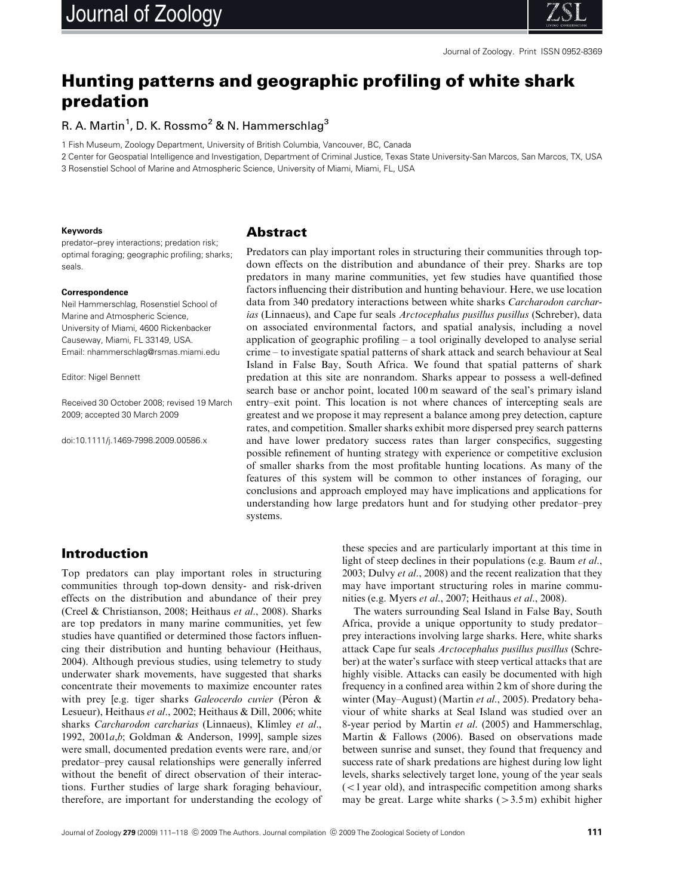

# Hunting patterns and geographic profiling of white shark predation

R. A. Martin $^1$ , D. K. Rossmo $^2$  & N. Hammerschlag $^3$ 

1 Fish Museum, Zoology Department, University of British Columbia, Vancouver, BC, Canada

2 Center for Geospatial Intelligence and Investigation, Department of Criminal Justice, Texas State University-San Marcos, San Marcos, TX, USA

3 Rosenstiel School of Marine and Atmospheric Science, University of Miami, Miami, FL, USA

#### **Keywords**

predator–prey interactions; predation risk; optimal foraging; geographic profiling; sharks; seals.

#### **Correspondence**

Neil Hammerschlag, Rosenstiel School of Marine and Atmospheric Science, University of Miami, 4600 Rickenbacker Causeway, Miami, FL 33149, USA. Email: [nhammerschlag@rsmas.miami.edu](mailto:nhammerschlag@rsmas.miami.edu)

Editor: Nigel Bennett

Received 30 October 2008; revised 19 March 2009; accepted 30 March 2009

doi:10.1111/j.1469-7998.2009.00586.x

## Abstract

Predators can play important roles in structuring their communities through topdown effects on the distribution and abundance of their prey. Sharks are top predators in many marine communities, yet few studies have quantified those factors influencing their distribution and hunting behaviour. Here, we use location data from 340 predatory interactions between white sharks Carcharodon carcharias (Linnaeus), and Cape fur seals Arctocephalus pusillus pusillus (Schreber), data on associated environmental factors, and spatial analysis, including a novel application of geographic profiling  $-$  a tool originally developed to analyse serial crime – to investigate spatial patterns of shark attack and search behaviour at Seal Island in False Bay, South Africa. We found that spatial patterns of shark predation at this site are nonrandom. Sharks appear to possess a well-defined search base or anchor point, located 100 m seaward of the seal's primary island entry–exit point. This location is not where chances of intercepting seals are greatest and we propose it may represent a balance among prey detection, capture rates, and competition. Smaller sharks exhibit more dispersed prey search patterns and have lower predatory success rates than larger conspecifics, suggesting possible refinement of hunting strategy with experience or competitive exclusion of smaller sharks from the most profitable hunting locations. As many of the features of this system will be common to other instances of foraging, our conclusions and approach employed may have implications and applications for understanding how large predators hunt and for studying other predator–prey systems.

## Introduction

Top predators can play important roles in structuring communities through top-down density- and risk-driven effects on the distribution and abundance of their prey (Creel & Christianson, 2008; Heithaus et al., 2008). Sharks are top predators in many marine communities, yet few studies have quantified or determined those factors influencing their distribution and hunting behaviour (Heithaus, 2004). Although previous studies, using telemetry to study underwater shark movements, have suggested that sharks concentrate their movements to maximize encounter rates with prey [e.g. tiger sharks Galeocerdo cuvier (Péron & Lesueur), Heithaus et al., 2002; Heithaus & Dill, 2006; white sharks Carcharodon carcharias (Linnaeus), Klimley et al., 1992, 2001 $a,b$ ; Goldman & Anderson, 1999], sample sizes were small, documented predation events were rare, and/or predator–prey causal relationships were generally inferred without the benefit of direct observation of their interactions. Further studies of large shark foraging behaviour, therefore, are important for understanding the ecology of these species and are particularly important at this time in light of steep declines in their populations (e.g. Baum *et al.*, 2003; Dulvy et al., 2008) and the recent realization that they may have important structuring roles in marine communities (e.g. Myers et al., 2007; Heithaus et al., 2008).

The waters surrounding Seal Island in False Bay, South Africa, provide a unique opportunity to study predator– prey interactions involving large sharks. Here, white sharks attack Cape fur seals Arctocephalus pusillus pusillus (Schreber) at the water's surface with steep vertical attacks that are highly visible. Attacks can easily be documented with high frequency in a confined area within 2 km of shore during the winter (May–August) (Martin et al., 2005). Predatory behaviour of white sharks at Seal Island was studied over an 8-year period by Martin et al. (2005) and Hammerschlag, Martin & Fallows (2006). Based on observations made between sunrise and sunset, they found that frequency and success rate of shark predations are highest during low light levels, sharks selectively target lone, young of the year seals  $(<$ 1 year old), and intraspecific competition among sharks may be great. Large white sharks  $(>3.5 \,\mathrm{m})$  exhibit higher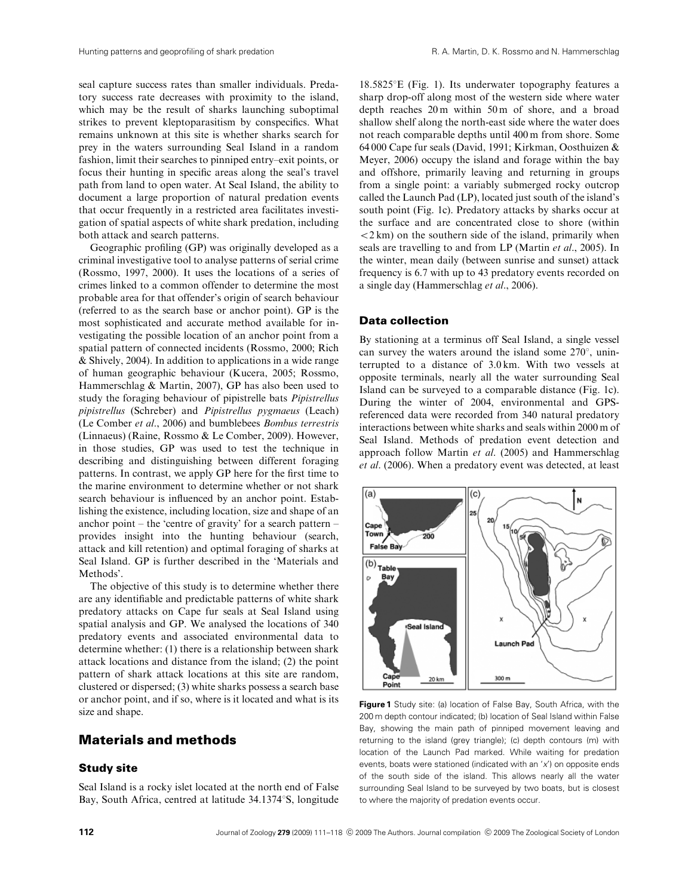seal capture success rates than smaller individuals. Predatory success rate decreases with proximity to the island, which may be the result of sharks launching suboptimal strikes to prevent kleptoparasitism by conspecifics. What remains unknown at this site is whether sharks search for prey in the waters surrounding Seal Island in a random fashion, limit their searches to pinniped entry–exit points, or focus their hunting in specific areas along the seal's travel path from land to open water. At Seal Island, the ability to document a large proportion of natural predation events that occur frequently in a restricted area facilitates investigation of spatial aspects of white shark predation, including both attack and search patterns.

Geographic profiling (GP) was originally developed as a criminal investigative tool to analyse patterns of serial crime (Rossmo, 1997, 2000). It uses the locations of a series of crimes linked to a common offender to determine the most probable area for that offender's origin of search behaviour (referred to as the search base or anchor point). GP is the most sophisticated and accurate method available for investigating the possible location of an anchor point from a spatial pattern of connected incidents (Rossmo, 2000; Rich & Shively, 2004). In addition to applications in a wide range of human geographic behaviour (Kucera, 2005; Rossmo, Hammerschlag & Martin, 2007), GP has also been used to study the foraging behaviour of pipistrelle bats Pipistrellus pipistrellus (Schreber) and Pipistrellus pygmaeus (Leach) (Le Comber et al., 2006) and bumblebees Bombus terrestris (Linnaeus) (Raine, Rossmo & Le Comber, 2009). However, in those studies, GP was used to test the technique in describing and distinguishing between different foraging patterns. In contrast, we apply GP here for the first time to the marine environment to determine whether or not shark search behaviour is influenced by an anchor point. Establishing the existence, including location, size and shape of an anchor point – the 'centre of gravity' for a search pattern – provides insight into the hunting behaviour (search, attack and kill retention) and optimal foraging of sharks at Seal Island. GP is further described in the 'Materials and Methods'.

The objective of this study is to determine whether there are any identifiable and predictable patterns of white shark predatory attacks on Cape fur seals at Seal Island using spatial analysis and GP. We analysed the locations of 340 predatory events and associated environmental data to determine whether: (1) there is a relationship between shark attack locations and distance from the island; (2) the point pattern of shark attack locations at this site are random, clustered or dispersed; (3) white sharks possess a search base or anchor point, and if so, where is it located and what is its size and shape.

# Materials and methods

### Study site

Seal Island is a rocky islet located at the north end of False Bay, South Africa, centred at latitude  $34.1374^{\circ}$ S, longitude  $18.5825^{\circ}E$  (Fig. 1). Its underwater topography features a sharp drop-off along most of the western side where water depth reaches 20 m within 50 m of shore, and a broad shallow shelf along the north-east side where the water does not reach comparable depths until 400 m from shore. Some 64 000 Cape fur seals (David, 1991; Kirkman, Oosthuizen & Meyer, 2006) occupy the island and forage within the bay and offshore, primarily leaving and returning in groups from a single point: a variably submerged rocky outcrop called the Launch Pad (LP), located just south of the island's south point (Fig. 1c). Predatory attacks by sharks occur at the surface and are concentrated close to shore (within  $\langle 2 \text{ km} \rangle$  on the southern side of the island, primarily when seals are travelling to and from LP (Martin et al., 2005). In the winter, mean daily (between sunrise and sunset) attack frequency is 6.7 with up to 43 predatory events recorded on a single day (Hammerschlag et al., 2006).

#### Data collection

By stationing at a terminus off Seal Island, a single vessel can survey the waters around the island some  $270^{\circ}$ , uninterrupted to a distance of 3.0 km. With two vessels at opposite terminals, nearly all the water surrounding Seal Island can be surveyed to a comparable distance (Fig. 1c). During the winter of 2004, environmental and GPSreferenced data were recorded from 340 natural predatory interactions between white sharks and seals within 2000 m of Seal Island. Methods of predation event detection and approach follow Martin et al. (2005) and Hammerschlag et al. (2006). When a predatory event was detected, at least



**Figure 1** Study site: (a) location of False Bay, South Africa, with the 200 m depth contour indicated; (b) location of Seal Island within False Bay, showing the main path of pinniped movement leaving and returning to the island (grey triangle); (c) depth contours (m) with location of the Launch Pad marked. While waiting for predation events, boats were stationed (indicated with an 'x') on opposite ends of the south side of the island. This allows nearly all the water surrounding Seal Island to be surveyed by two boats, but is closest to where the majority of predation events occur.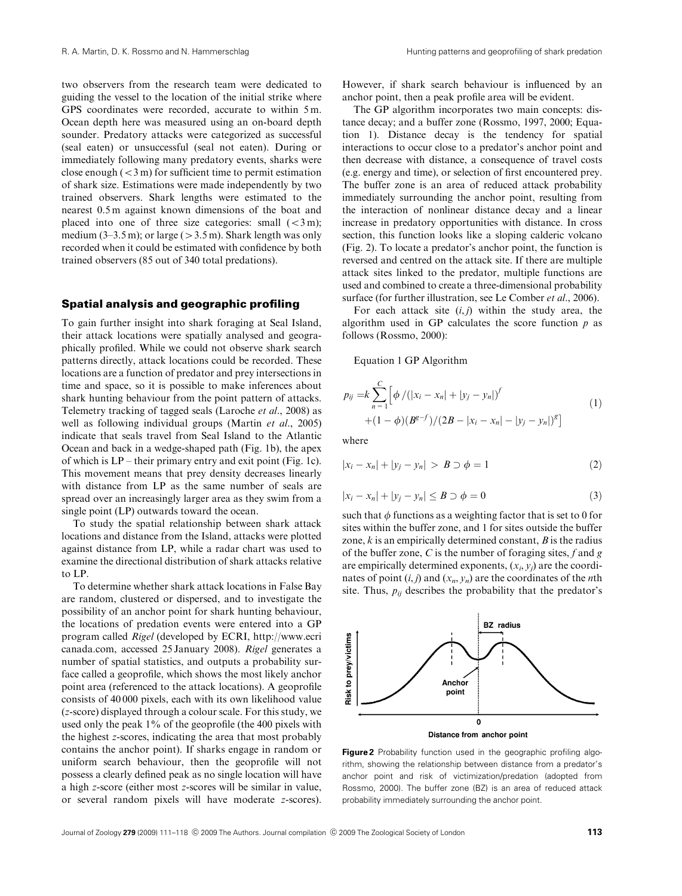two observers from the research team were dedicated to guiding the vessel to the location of the initial strike where GPS coordinates were recorded, accurate to within 5 m. Ocean depth here was measured using an on-board depth sounder. Predatory attacks were categorized as successful (seal eaten) or unsuccessful (seal not eaten). During or immediately following many predatory events, sharks were close enough  $(< 3 \,\mathrm{m})$  for sufficient time to permit estimation of shark size. Estimations were made independently by two trained observers. Shark lengths were estimated to the nearest 0.5 m against known dimensions of the boat and placed into one of three size categories: small  $( $3 \text{ m}$ );$ medium (3–3.5 m); or large ( $>$ 3.5 m). Shark length was only recorded when it could be estimated with confidence by both trained observers (85 out of 340 total predations).

## Spatial analysis and geographic profiling

To gain further insight into shark foraging at Seal Island, their attack locations were spatially analysed and geographically profiled. While we could not observe shark search patterns directly, attack locations could be recorded. These locations are a function of predator and prey intersections in time and space, so it is possible to make inferences about shark hunting behaviour from the point pattern of attacks. Telemetry tracking of tagged seals (Laroche et al., 2008) as well as following individual groups (Martin et al., 2005) indicate that seals travel from Seal Island to the Atlantic Ocean and back in a wedge-shaped path (Fig. 1b), the apex of which is LP – their primary entry and exit point (Fig. 1c). This movement means that prey density decreases linearly with distance from LP as the same number of seals are spread over an increasingly larger area as they swim from a single point (LP) outwards toward the ocean.

To study the spatial relationship between shark attack locations and distance from the Island, attacks were plotted against distance from LP, while a radar chart was used to examine the directional distribution of shark attacks relative to LP.

To determine whether shark attack locations in False Bay are random, clustered or dispersed, and to investigate the possibility of an anchor point for shark hunting behaviour, the locations of predation events were entered into a GP program called Rigel (developed by ECRI, [http://www.ecri](http://www.ecricanada.com) [canada.com, accessed 25 January 2008\).](http://www.ecricanada.com) Rigel generates a [number of spatial statistics, and outputs a probability sur](http://www.ecricanada.com)[face called a geoprofile, which shows the most likely anchor](http://www.ecricanada.com) [point area \(referenced to the attack locations\). A geoprofile](http://www.ecricanada.com) [consists of 40 000 pixels, each with its own likelihood value](http://www.ecricanada.com) (z[-score\) displayed through a colour scale. For this study, we](http://www.ecricanada.com) [used only the peak 1% of the geoprofile \(the 400 pixels with](http://www.ecricanada.com) the highest z[-scores, indicating the area that most probably](http://www.ecricanada.com) [contains the anchor point\). If sharks engage in random or](http://www.ecricanada.com) [uniform search behaviour, then the geoprofile will not](http://www.ecricanada.com) [possess a clearly defined peak as no single location will have](http://www.ecricanada.com) a high z-score (either most z[-scores will be similar in value,](http://www.ecricanada.com) [or several random pixels will have moderate](http://www.ecricanada.com) z-scores).

[However, if shark search behaviour is influenced by an](http://www.ecricanada.com) [anchor point, then a peak profile area will be evident.](http://www.ecricanada.com)

The GP algorithm incorporates two main concepts: distance decay; and a buffer zone (Rossmo, 1997, 2000; Equation 1). Distance decay is the tendency for spatial interactions to occur close to a predator's anchor point and then decrease with distance, a consequence of travel costs (e.g. energy and time), or selection of first encountered prey. The buffer zone is an area of reduced attack probability immediately surrounding the anchor point, resulting from the interaction of nonlinear distance decay and a linear increase in predatory opportunities with distance. In cross section, this function looks like a sloping calderic volcano (Fig. 2). To locate a predator's anchor point, the function is reversed and centred on the attack site. If there are multiple attack sites linked to the predator, multiple functions are used and combined to create a three-dimensional probability surface (for further illustration, see Le Comber et al., 2006).

For each attack site  $(i, j)$  within the study area, the algorithm used in GP calculates the score function  $p$  as follows (Rossmo, 2000):

Equation 1 GP Algorithm

$$
p_{ij} = k \sum_{n=1}^{C} \left[ \phi / (|x_i - x_n| + |y_j - y_n|)^f \right] + (1 - \phi)(B^{g-f}) / (2B - |x_i - x_n| - |y_j - y_n|)^g \right]
$$
(1)

where

$$
|x_i - x_n| + |y_j - y_n| > B \supset \phi = 1
$$
 (2)

$$
|x_i - x_n| + |y_j - y_n| \le B \supset \phi = 0 \tag{3}
$$

such that  $\phi$  functions as a weighting factor that is set to 0 for sites within the buffer zone, and 1 for sites outside the buffer zone,  $k$  is an empirically determined constant,  $B$  is the radius of the buffer zone,  $C$  is the number of foraging sites,  $f$  and  $g$ are empirically determined exponents,  $(x_i, y_i)$  are the coordinates of point  $(i, j)$  and  $(x_n, y_n)$  are the coordinates of the *n*th site. Thus,  $p_{ii}$  describes the probability that the predator's



Figure 2 Probability function used in the geographic profiling algorithm, showing the relationship between distance from a predator's anchor point and risk of victimization/predation (adopted from Rossmo, 2000). The buffer zone (BZ) is an area of reduced attack probability immediately surrounding the anchor point.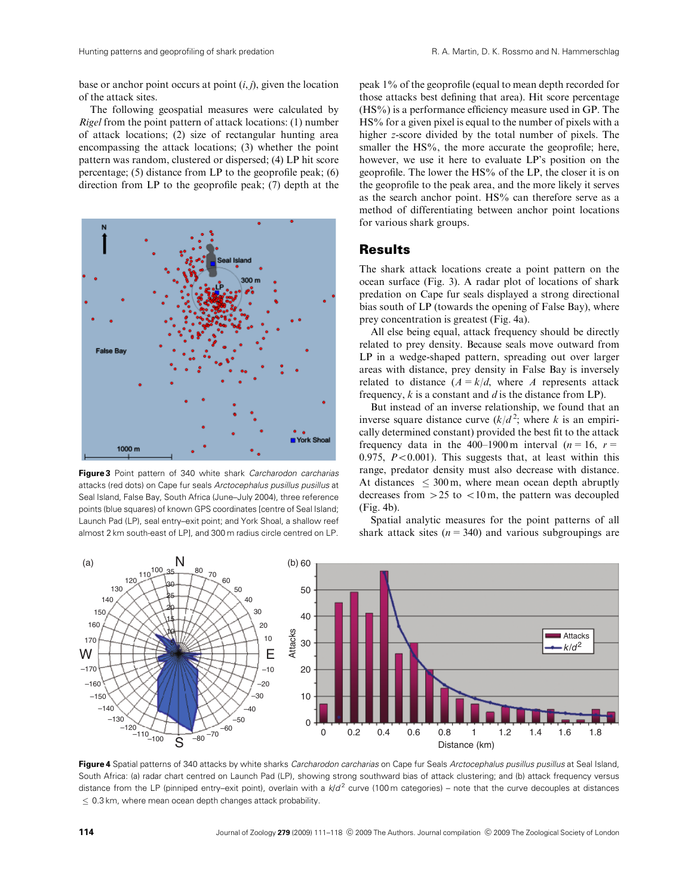base or anchor point occurs at point  $(i, j)$ , given the location of the attack sites.

The following geospatial measures were calculated by Rigel from the point pattern of attack locations: (1) number of attack locations; (2) size of rectangular hunting area encompassing the attack locations; (3) whether the point pattern was random, clustered or dispersed; (4) LP hit score percentage; (5) distance from LP to the geoprofile peak; (6) direction from LP to the geoprofile peak; (7) depth at the



**Figure 3** Point pattern of 340 white shark Carcharodon carcharias attacks (red dots) on Cape fur seals Arctocephalus pusillus pusillus at Seal Island, False Bay, South Africa (June–July 2004), three reference points (blue squares) of known GPS coordinates [centre of Seal Island; Launch Pad (LP), seal entry–exit point; and York Shoal, a shallow reef almost 2 km south-east of LP], and 300 m radius circle centred on LP.

peak 1% of the geoprofile (equal to mean depth recorded for those attacks best defining that area). Hit score percentage (HS%) is a performance efficiency measure used in GP. The HS% for a given pixel is equal to the number of pixels with a higher z-score divided by the total number of pixels. The smaller the HS%, the more accurate the geoprofile; here, however, we use it here to evaluate LP's position on the geoprofile. The lower the HS% of the LP, the closer it is on the geoprofile to the peak area, and the more likely it serves as the search anchor point. HS% can therefore serve as a method of differentiating between anchor point locations for various shark groups.

## Results

The shark attack locations create a point pattern on the ocean surface (Fig. 3). A radar plot of locations of shark predation on Cape fur seals displayed a strong directional bias south of LP (towards the opening of False Bay), where prey concentration is greatest (Fig. 4a).

All else being equal, attack frequency should be directly related to prey density. Because seals move outward from LP in a wedge-shaped pattern, spreading out over larger areas with distance, prey density in False Bay is inversely related to distance  $(A = k/d)$ , where A represents attack frequency,  $k$  is a constant and  $d$  is the distance from LP).

But instead of an inverse relationship, we found that an inverse square distance curve  $(k/d^2)$ ; where k is an empirically determined constant) provided the best fit to the attack frequency data in the 400–1900 m interval ( $n=16$ ,  $r=$ 0.975,  $P < 0.001$ ). This suggests that, at least within this range, predator density must also decrease with distance. At distances  $\leq 300 \,\text{m}$ , where mean ocean depth abruptly decreases from  $>$  25 to  $<$  10 m, the pattern was decoupled (Fig. 4b).

Spatial analytic measures for the point patterns of all shark attack sites ( $n = 340$ ) and various subgroupings are



Figure 4 Spatial patterns of 340 attacks by white sharks Carcharodon carcharias on Cape fur Seals Arctocephalus pusillus pusillus at Seal Island, South Africa: (a) radar chart centred on Launch Pad (LP), showing strong southward bias of attack clustering; and (b) attack frequency versus distance from the LP (pinniped entry–exit point), overlain with a  $k/d^2$  curve (100 m categories) – note that the curve decouples at distances  $0.3$  km, where mean ocean depth changes attack probability.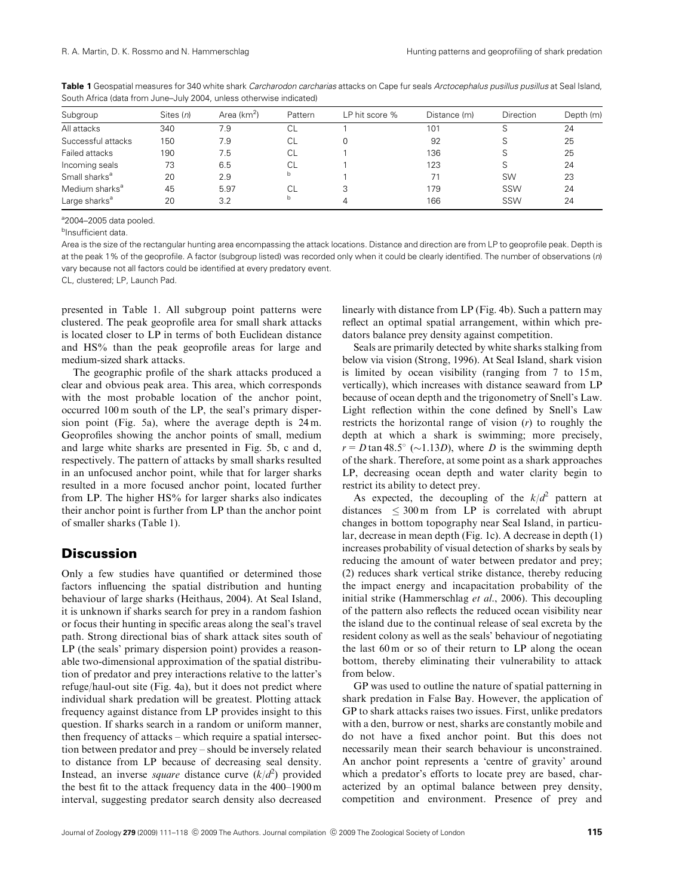| Subgroup                   | Sites (n) | Area $(km^2)$ | Pattern | LP hit score % | Distance (m) | <b>Direction</b> | Depth (m) |
|----------------------------|-----------|---------------|---------|----------------|--------------|------------------|-----------|
| All attacks                | 340       | 7.9           | СL      |                | 101          |                  | 24        |
| Successful attacks         | 150       | 7.9           | СL      |                | 92           |                  | 25        |
| Failed attacks             | 190       | 7.5           | СL      |                | 136          |                  | 25        |
| Incoming seals             | 73        | 6.5           | СL      |                | 123          |                  | 24        |
| Small sharks <sup>a</sup>  | 20        | 2.9           | b       |                |              | <b>SW</b>        | 23        |
| Medium sharks <sup>a</sup> | 45        | 5.97          | СL      |                | 179          | SSW              | 24        |
| Large sharks <sup>a</sup>  | 20        | 3.2           | b.      |                | 166          | SSW              | 24        |

Table 1 Geospatial measures for 340 white shark Carcharodon carcharias attacks on Cape fur seals Arctocephalus pusillus pusillus at Seal Island, South Africa (data from June–July 2004, unless otherwise indicated)

a 2004–2005 data pooled.

<sup>b</sup>Insufficient data.

Area is the size of the rectangular hunting area encompassing the attack locations. Distance and direction are from LP to geoprofile peak. Depth is at the peak 1% of the geoprofile. A factor (subgroup listed) was recorded only when it could be clearly identified. The number of observations (n) vary because not all factors could be identified at every predatory event.

CL, clustered; LP, Launch Pad.

presented in Table 1. All subgroup point patterns were clustered. The peak geoprofile area for small shark attacks is located closer to LP in terms of both Euclidean distance and HS% than the peak geoprofile areas for large and medium-sized shark attacks.

The geographic profile of the shark attacks produced a clear and obvious peak area. This area, which corresponds with the most probable location of the anchor point, occurred 100 m south of the LP, the seal's primary dispersion point (Fig. 5a), where the average depth is 24 m. Geoprofiles showing the anchor points of small, medium and large white sharks are presented in Fig. 5b, c and d, respectively. The pattern of attacks by small sharks resulted in an unfocused anchor point, while that for larger sharks resulted in a more focused anchor point, located further from LP. The higher HS% for larger sharks also indicates their anchor point is further from LP than the anchor point of smaller sharks (Table 1).

# **Discussion**

Only a few studies have quantified or determined those factors influencing the spatial distribution and hunting behaviour of large sharks (Heithaus, 2004). At Seal Island, it is unknown if sharks search for prey in a random fashion or focus their hunting in specific areas along the seal's travel path. Strong directional bias of shark attack sites south of LP (the seals' primary dispersion point) provides a reasonable two-dimensional approximation of the spatial distribution of predator and prey interactions relative to the latter's refuge/haul-out site (Fig. 4a), but it does not predict where individual shark predation will be greatest. Plotting attack frequency against distance from LP provides insight to this question. If sharks search in a random or uniform manner, then frequency of attacks – which require a spatial intersection between predator and prey – should be inversely related to distance from LP because of decreasing seal density. Instead, an inverse *square* distance curve  $(k/d^2)$  provided the best fit to the attack frequency data in the 400–1900 m interval, suggesting predator search density also decreased

linearly with distance from LP (Fig. 4b). Such a pattern may reflect an optimal spatial arrangement, within which predators balance prey density against competition.

Seals are primarily detected by white sharks stalking from below via vision (Strong, 1996). At Seal Island, shark vision is limited by ocean visibility (ranging from 7 to 15 m, vertically), which increases with distance seaward from LP because of ocean depth and the trigonometry of Snell's Law. Light reflection within the cone defined by Snell's Law restricts the horizontal range of vision  $(r)$  to roughly the depth at which a shark is swimming; more precisely,  $r = D \tan 48.5^{\circ}$  (~1.13D), where D is the swimming depth of the shark. Therefore, at some point as a shark approaches LP, decreasing ocean depth and water clarity begin to restrict its ability to detect prey.

As expected, the decoupling of the  $k/d^2$  pattern at distances  $\leq 300 \text{ m}$  from LP is correlated with abrupt changes in bottom topography near Seal Island, in particular, decrease in mean depth (Fig. 1c). A decrease in depth (1) increases probability of visual detection of sharks by seals by reducing the amount of water between predator and prey; (2) reduces shark vertical strike distance, thereby reducing the impact energy and incapacitation probability of the initial strike (Hammerschlag et al., 2006). This decoupling of the pattern also reflects the reduced ocean visibility near the island due to the continual release of seal excreta by the resident colony as well as the seals' behaviour of negotiating the last  $60 \text{ m}$  or so of their return to LP along the ocean bottom, thereby eliminating their vulnerability to attack from below.

GP was used to outline the nature of spatial patterning in shark predation in False Bay. However, the application of GP to shark attacks raises two issues. First, unlike predators with a den, burrow or nest, sharks are constantly mobile and do not have a fixed anchor point. But this does not necessarily mean their search behaviour is unconstrained. An anchor point represents a 'centre of gravity' around which a predator's efforts to locate prey are based, characterized by an optimal balance between prey density, competition and environment. Presence of prey and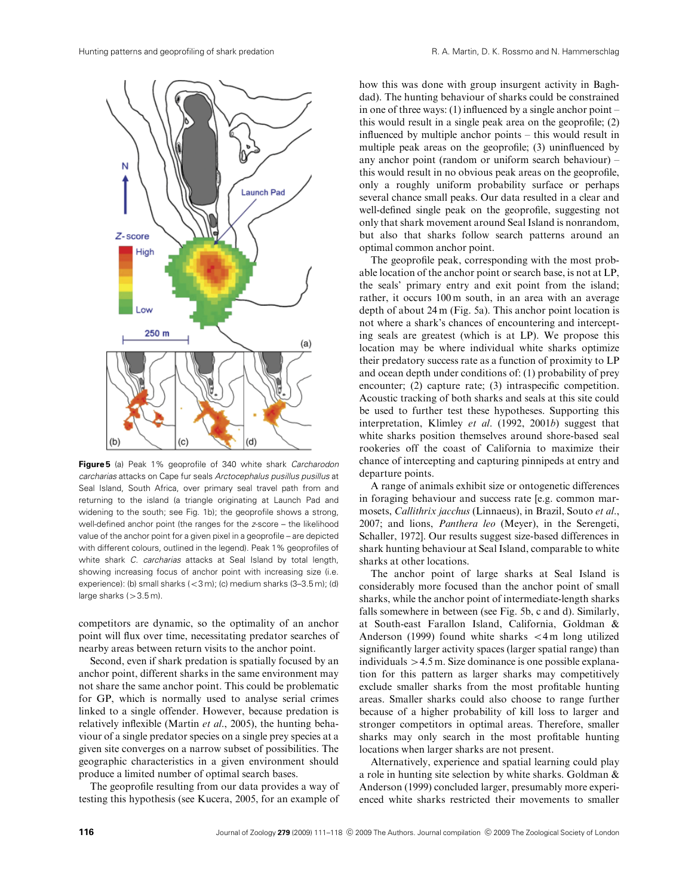

**Figure 5** (a) Peak 1% geoprofile of 340 white shark *Carcharodon* carcharias attacks on Cape fur seals Arctocephalus pusillus pusillus at Seal Island, South Africa, over primary seal travel path from and returning to the island (a triangle originating at Launch Pad and widening to the south; see Fig. 1b); the geoprofile shows a strong, well-defined anchor point (the ranges for the z-score – the likelihood value of the anchor point for a given pixel in a geoprofile – are depicted with different colours, outlined in the legend). Peak 1% geoprofiles of white shark C. carcharias attacks at Seal Island by total length, showing increasing focus of anchor point with increasing size (i.e. experience): (b) small sharks  $(<$  3 m); (c) medium sharks (3-3.5 m); (d) large sharks  $(>3.5 \text{ m})$ .

competitors are dynamic, so the optimality of an anchor point will flux over time, necessitating predator searches of nearby areas between return visits to the anchor point.

Second, even if shark predation is spatially focused by an anchor point, different sharks in the same environment may not share the same anchor point. This could be problematic for GP, which is normally used to analyse serial crimes linked to a single offender. However, because predation is relatively inflexible (Martin et al., 2005), the hunting behaviour of a single predator species on a single prey species at a given site converges on a narrow subset of possibilities. The geographic characteristics in a given environment should produce a limited number of optimal search bases.

The geoprofile resulting from our data provides a way of testing this hypothesis (see Kucera, 2005, for an example of how this was done with group insurgent activity in Baghdad). The hunting behaviour of sharks could be constrained in one of three ways: (1) influenced by a single anchor point – this would result in a single peak area on the geoprofile; (2) influenced by multiple anchor points – this would result in multiple peak areas on the geoprofile; (3) uninfluenced by any anchor point (random or uniform search behaviour) – this would result in no obvious peak areas on the geoprofile, only a roughly uniform probability surface or perhaps several chance small peaks. Our data resulted in a clear and well-defined single peak on the geoprofile, suggesting not only that shark movement around Seal Island is nonrandom, but also that sharks follow search patterns around an optimal common anchor point.

The geoprofile peak, corresponding with the most probable location of the anchor point or search base, is not at LP, the seals' primary entry and exit point from the island; rather, it occurs 100 m south, in an area with an average depth of about 24 m (Fig. 5a). This anchor point location is not where a shark's chances of encountering and intercepting seals are greatest (which is at LP). We propose this location may be where individual white sharks optimize their predatory success rate as a function of proximity to LP and ocean depth under conditions of: (1) probability of prey encounter; (2) capture rate; (3) intraspecific competition. Acoustic tracking of both sharks and seals at this site could be used to further test these hypotheses. Supporting this interpretation, Klimley et al. (1992, 2001b) suggest that white sharks position themselves around shore-based seal rookeries off the coast of California to maximize their chance of intercepting and capturing pinnipeds at entry and departure points.

A range of animals exhibit size or ontogenetic differences in foraging behaviour and success rate [e.g. common marmosets, Callithrix jacchus (Linnaeus), in Brazil, Souto et al., 2007; and lions, Panthera leo (Meyer), in the Serengeti, Schaller, 1972]. Our results suggest size-based differences in shark hunting behaviour at Seal Island, comparable to white sharks at other locations.

The anchor point of large sharks at Seal Island is considerably more focused than the anchor point of small sharks, while the anchor point of intermediate-length sharks falls somewhere in between (see Fig. 5b, c and d). Similarly, at South-east Farallon Island, California, Goldman & Anderson (1999) found white sharks  $\lt$ 4 m long utilized significantly larger activity spaces (larger spatial range) than individuals  $>4.5$  m. Size dominance is one possible explanation for this pattern as larger sharks may competitively exclude smaller sharks from the most profitable hunting areas. Smaller sharks could also choose to range further because of a higher probability of kill loss to larger and stronger competitors in optimal areas. Therefore, smaller sharks may only search in the most profitable hunting locations when larger sharks are not present.

Alternatively, experience and spatial learning could play a role in hunting site selection by white sharks. Goldman & Anderson (1999) concluded larger, presumably more experienced white sharks restricted their movements to smaller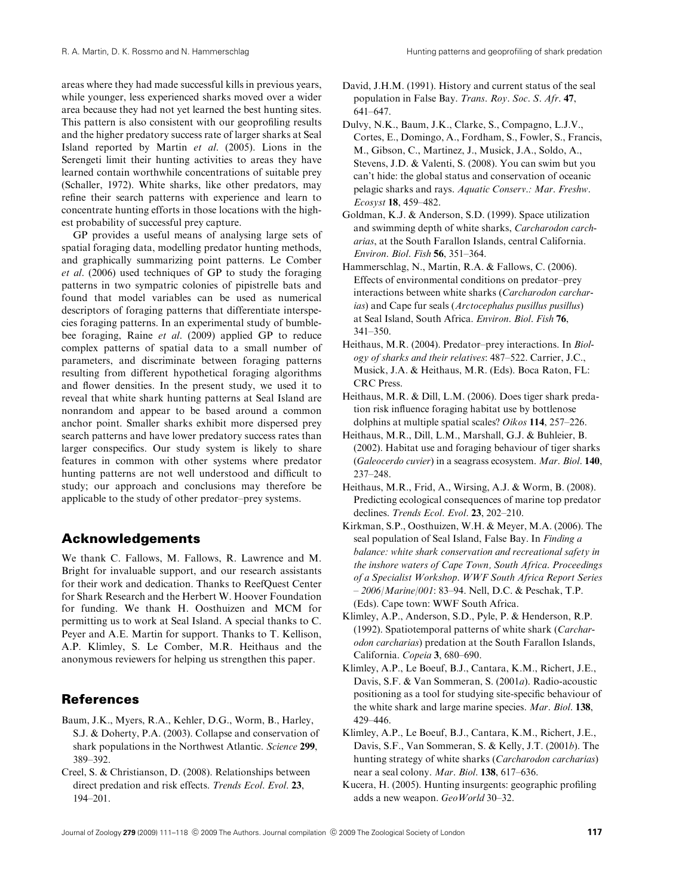areas where they had made successful kills in previous years, while younger, less experienced sharks moved over a wider area because they had not yet learned the best hunting sites. This pattern is also consistent with our geoprofiling results and the higher predatory success rate of larger sharks at Seal Island reported by Martin et al. (2005). Lions in the Serengeti limit their hunting activities to areas they have learned contain worthwhile concentrations of suitable prey (Schaller, 1972). White sharks, like other predators, may refine their search patterns with experience and learn to concentrate hunting efforts in those locations with the highest probability of successful prey capture.

GP provides a useful means of analysing large sets of spatial foraging data, modelling predator hunting methods, and graphically summarizing point patterns. Le Comber et al. (2006) used techniques of GP to study the foraging patterns in two sympatric colonies of pipistrelle bats and found that model variables can be used as numerical descriptors of foraging patterns that differentiate interspecies foraging patterns. In an experimental study of bumblebee foraging, Raine et al. (2009) applied GP to reduce complex patterns of spatial data to a small number of parameters, and discriminate between foraging patterns resulting from different hypothetical foraging algorithms and flower densities. In the present study, we used it to reveal that white shark hunting patterns at Seal Island are nonrandom and appear to be based around a common anchor point. Smaller sharks exhibit more dispersed prey search patterns and have lower predatory success rates than larger conspecifics. Our study system is likely to share features in common with other systems where predator hunting patterns are not well understood and difficult to study; our approach and conclusions may therefore be applicable to the study of other predator–prey systems.

## Acknowledgements

We thank C. Fallows, M. Fallows, R. Lawrence and M. Bright for invaluable support, and our research assistants for their work and dedication. Thanks to ReefQuest Center for Shark Research and the Herbert W. Hoover Foundation for funding. We thank H. Oosthuizen and MCM for permitting us to work at Seal Island. A special thanks to C. Peyer and A.E. Martin for support. Thanks to T. Kellison, A.P. Klimley, S. Le Comber, M.R. Heithaus and the anonymous reviewers for helping us strengthen this paper.

## References

- Baum, J.K., Myers, R.A., Kehler, D.G., Worm, B., Harley, S.J. & Doherty, P.A. (2003). Collapse and conservation of shark populations in the Northwest Atlantic. Science 299, 389–392.
- Creel, S. & Christianson, D. (2008). Relationships between direct predation and risk effects. Trends Ecol. Evol. 23, 194–201.
- David, J.H.M. (1991). History and current status of the seal population in False Bay. Trans. Roy. Soc. S. Afr. 47, 641–647.
- Dulvy, N.K., Baum, J.K., Clarke, S., Compagno, L.J.V., Cortes, E., Domingo, A., Fordham, S., Fowler, S., Francis, M., Gibson, C., Martinez, J., Musick, J.A., Soldo, A., Stevens, J.D. & Valenti, S. (2008). You can swim but you can't hide: the global status and conservation of oceanic pelagic sharks and rays. Aquatic Conserv.: Mar. Freshw. Ecosyst 18, 459–482.
- Goldman, K.J. & Anderson, S.D. (1999). Space utilization and swimming depth of white sharks, Carcharodon carcharias, at the South Farallon Islands, central California. Environ. Biol. Fish 56, 351–364.
- Hammerschlag, N., Martin, R.A. & Fallows, C. (2006). Effects of environmental conditions on predator–prey interactions between white sharks (Carcharodon carcharias) and Cape fur seals (Arctocephalus pusillus pusillus) at Seal Island, South Africa. Environ. Biol. Fish 76, 341–350.
- Heithaus, M.R. (2004). Predator–prey interactions. In Biology of sharks and their relatives: 487–522. Carrier, J.C., Musick, J.A. & Heithaus, M.R. (Eds). Boca Raton, FL: CRC Press.
- Heithaus, M.R. & Dill, L.M. (2006). Does tiger shark predation risk influence foraging habitat use by bottlenose dolphins at multiple spatial scales? Oikos 114, 257–226.
- Heithaus, M.R., Dill, L.M., Marshall, G.J. & Buhleier, B. (2002). Habitat use and foraging behaviour of tiger sharks (Galeocerdo cuvier) in a seagrass ecosystem. Mar. Biol. 140, 237–248.
- Heithaus, M.R., Frid, A., Wirsing, A.J. & Worm, B. (2008). Predicting ecological consequences of marine top predator declines. Trends Ecol. Evol. 23, 202-210.
- Kirkman, S.P., Oosthuizen, W.H. & Meyer, M.A. (2006). The seal population of Seal Island, False Bay. In Finding a balance: white shark conservation and recreational safety in the inshore waters of Cape Town, South Africa. Proceedings of a Specialist Workshop. WWF South Africa Report Series – 2006/Marine/001: 83–94. Nell, D.C. & Peschak, T.P. (Eds). Cape town: WWF South Africa.
- Klimley, A.P., Anderson, S.D., Pyle, P. & Henderson, R.P. (1992). Spatiotemporal patterns of white shark (Carcharodon carcharias) predation at the South Farallon Islands, California. Copeia 3, 680–690.
- Klimley, A.P., Le Boeuf, B.J., Cantara, K.M., Richert, J.E., Davis, S.F. & Van Sommeran, S. (2001a). Radio-acoustic positioning as a tool for studying site-specific behaviour of the white shark and large marine species. Mar. Biol. 138, 429–446.
- Klimley, A.P., Le Boeuf, B.J., Cantara, K.M., Richert, J.E., Davis, S.F., Van Sommeran, S. & Kelly, J.T. (2001b). The hunting strategy of white sharks (Carcharodon carcharias) near a seal colony. Mar. Biol. 138, 617–636.
- Kucera, H. (2005). Hunting insurgents: geographic profiling adds a new weapon. GeoWorld 30–32.